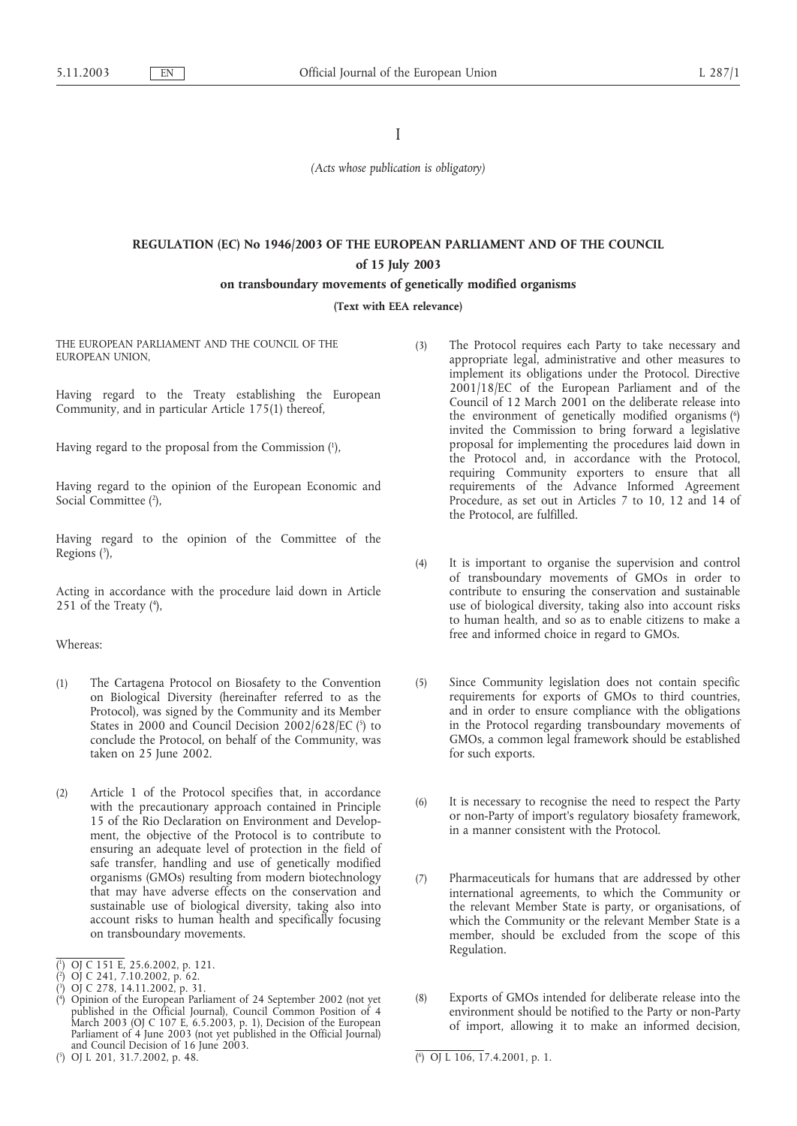I

*(Acts whose publication is obligatory)*

# **REGULATION (EC) No 1946/2003 OF THE EUROPEAN PARLIAMENT AND OF THE COUNCIL of 15 July 2003**

### **on transboundary movements of genetically modified organisms**

**(Text with EEA relevance)**

THE EUROPEAN PARLIAMENT AND THE COUNCIL OF THE EUROPEAN UNION,

Having regard to the Treaty establishing the European Community, and in particular Article 175(1) thereof,

Having regard to the proposal from the Commission (1 ),

Having regard to the opinion of the European Economic and Social Committee (2),

Having regard to the opinion of the Committee of the Regions (3),

Acting in accordance with the procedure laid down in Article 251 of the Treaty  $(4)$ ,

#### Whereas:

- (1) The Cartagena Protocol on Biosafety to the Convention on Biological Diversity (hereinafter referred to as the Protocol), was signed by the Community and its Member States in 2000 and Council Decision 2002/628/EC (5) to conclude the Protocol, on behalf of the Community, was taken on 25 June 2002.
- (2) Article 1 of the Protocol specifies that, in accordance with the precautionary approach contained in Principle 15 of the Rio Declaration on Environment and Development, the objective of the Protocol is to contribute to ensuring an adequate level of protection in the field of safe transfer, handling and use of genetically modified organisms (GMOs) resulting from modern biotechnology that may have adverse effects on the conservation and sustainable use of biological diversity, taking also into account risks to human health and specifically focusing on transboundary movements.
- (3) The Protocol requires each Party to take necessary and appropriate legal, administrative and other measures to implement its obligations under the Protocol. Directive 2001/18/EC of the European Parliament and of the Council of 12 March 2001 on the deliberate release into the environment of genetically modified organisms (6 ) invited the Commission to bring forward a legislative proposal for implementing the procedures laid down in the Protocol and, in accordance with the Protocol, requiring Community exporters to ensure that all requirements of the Advance Informed Agreement Procedure, as set out in Articles 7 to 10, 12 and 14 of the Protocol, are fulfilled.
- (4) It is important to organise the supervision and control of transboundary movements of GMOs in order to contribute to ensuring the conservation and sustainable use of biological diversity, taking also into account risks to human health, and so as to enable citizens to make a free and informed choice in regard to GMOs.
- (5) Since Community legislation does not contain specific requirements for exports of GMOs to third countries, and in order to ensure compliance with the obligations in the Protocol regarding transboundary movements of GMOs, a common legal framework should be established for such exports.
- (6) It is necessary to recognise the need to respect the Party or non-Party of import's regulatory biosafety framework, in a manner consistent with the Protocol.
- (7) Pharmaceuticals for humans that are addressed by other international agreements, to which the Community or the relevant Member State is party, or organisations, of which the Community or the relevant Member State is a member, should be excluded from the scope of this Regulation.
- (8) Exports of GMOs intended for deliberate release into the environment should be notified to the Party or non-Party of import, allowing it to make an informed decision,

6 ) OJ L 106, 17.4.2001, p. 1.

<sup>(</sup> 1 ) OJ C 151 E, 25.6.2002, p. 121.

<sup>(</sup> 2 ) OJ C 241, 7.10.2002, p. 62.

<sup>(</sup> 3 ) OJ C 278, 14.11.2002, p. 31.

<sup>(</sup> 4 ) Opinion of the European Parliament of 24 September 2002 (not yet published in the Official Journal), Council Common Position of 4 March 2003 (OJ C 107 E, 6.5.2003, p. 1), Decision of the European Parliament of 4 June 2003 (not yet published in the Official Journal) and Council Decision of 16 June 2003.

 $\binom{5}{1}$  OJ L 201, 31.7.2002, p. 48.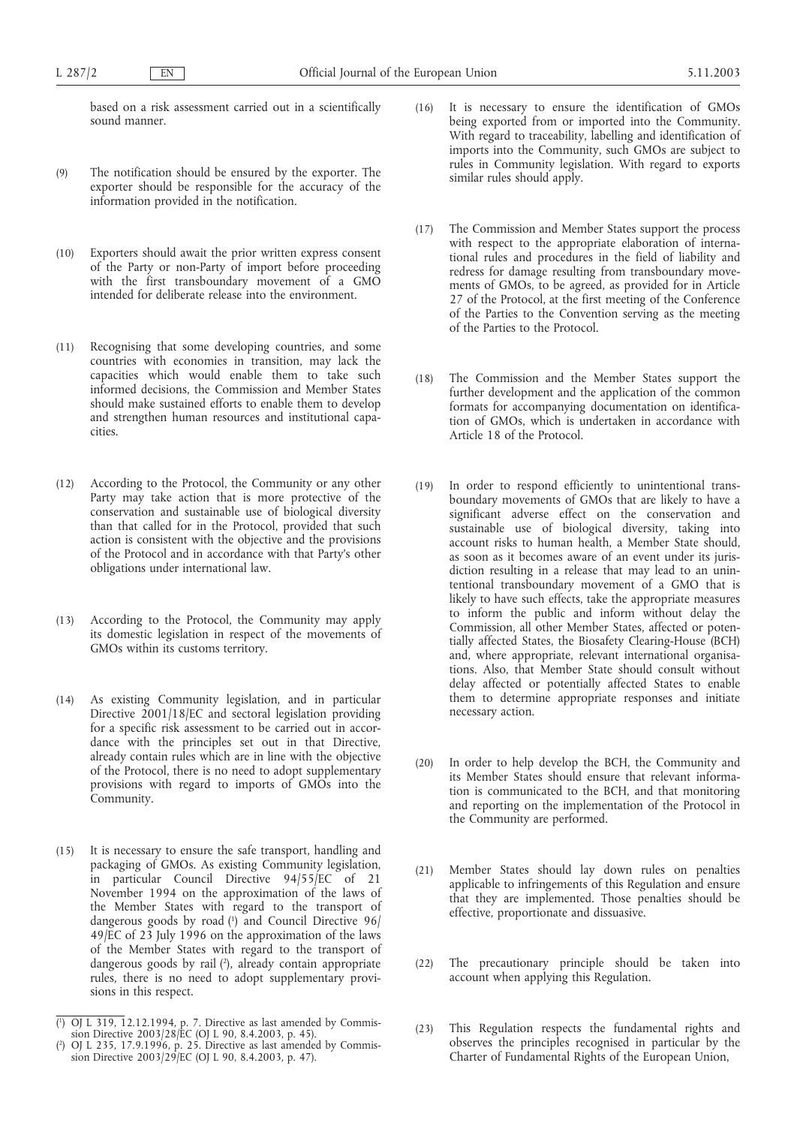based on a risk assessment carried out in a scientifically sound manner.

- (9) The notification should be ensured by the exporter. The exporter should be responsible for the accuracy of the information provided in the notification.
- (10) Exporters should await the prior written express consent of the Party or non-Party of import before proceeding with the first transboundary movement of a GMO intended for deliberate release into the environment.
- (11) Recognising that some developing countries, and some countries with economies in transition, may lack the capacities which would enable them to take such informed decisions, the Commission and Member States should make sustained efforts to enable them to develop and strengthen human resources and institutional capacities.
- (12) According to the Protocol, the Community or any other Party may take action that is more protective of the conservation and sustainable use of biological diversity than that called for in the Protocol, provided that such action is consistent with the objective and the provisions of the Protocol and in accordance with that Party's other obligations under international law.
- (13) According to the Protocol, the Community may apply its domestic legislation in respect of the movements of GMOs within its customs territory.
- (14) As existing Community legislation, and in particular Directive 2001/18/EC and sectoral legislation providing for a specific risk assessment to be carried out in accordance with the principles set out in that Directive, already contain rules which are in line with the objective of the Protocol, there is no need to adopt supplementary provisions with regard to imports of GMOs into the Community.
- (15) It is necessary to ensure the safe transport, handling and packaging of GMOs. As existing Community legislation, in particular Council Directive 94/55/EC of 21 November 1994 on the approximation of the laws of the Member States with regard to the transport of dangerous goods by road (1 ) and Council Directive 96/ 49/EC of 23 July 1996 on the approximation of the laws of the Member States with regard to the transport of dangerous goods by rail (2 ), already contain appropriate rules, there is no need to adopt supplementary provisions in this respect.
- (16) It is necessary to ensure the identification of GMOs being exported from or imported into the Community. With regard to traceability, labelling and identification of imports into the Community, such GMOs are subject to rules in Community legislation. With regard to exports similar rules should apply.
- (17) The Commission and Member States support the process with respect to the appropriate elaboration of international rules and procedures in the field of liability and redress for damage resulting from transboundary movements of GMOs, to be agreed, as provided for in Article 27 of the Protocol, at the first meeting of the Conference of the Parties to the Convention serving as the meeting of the Parties to the Protocol.
- (18) The Commission and the Member States support the further development and the application of the common formats for accompanying documentation on identification of GMOs, which is undertaken in accordance with Article 18 of the Protocol.
- (19) In order to respond efficiently to unintentional transboundary movements of GMOs that are likely to have a significant adverse effect on the conservation and sustainable use of biological diversity, taking into account risks to human health, a Member State should, as soon as it becomes aware of an event under its jurisdiction resulting in a release that may lead to an unintentional transboundary movement of a GMO that is likely to have such effects, take the appropriate measures to inform the public and inform without delay the Commission, all other Member States, affected or potentially affected States, the Biosafety Clearing-House (BCH) and, where appropriate, relevant international organisations. Also, that Member State should consult without delay affected or potentially affected States to enable them to determine appropriate responses and initiate necessary action.
- (20) In order to help develop the BCH, the Community and its Member States should ensure that relevant information is communicated to the BCH, and that monitoring and reporting on the implementation of the Protocol in the Community are performed.
- (21) Member States should lay down rules on penalties applicable to infringements of this Regulation and ensure that they are implemented. Those penalties should be effective, proportionate and dissuasive.
- (22) The precautionary principle should be taken into account when applying this Regulation.
- (23) This Regulation respects the fundamental rights and observes the principles recognised in particular by the Charter of Fundamental Rights of the European Union,

<sup>(</sup> 1 ) OJ L 319, 12.12.1994, p. 7. Directive as last amended by Commission Directive 2003/28/EC (OJ L 90, 8.4.2003, p. 45).<br><sup>2</sup>) OLL 235, 17.9.1996, p. 25. Directive as last amende

<sup>(</sup> ) OJ L 235, 17.9.1996, p. 25. Directive as last amended by Commission Directive 2003/29/EC (OJ L 90, 8.4.2003, p. 47).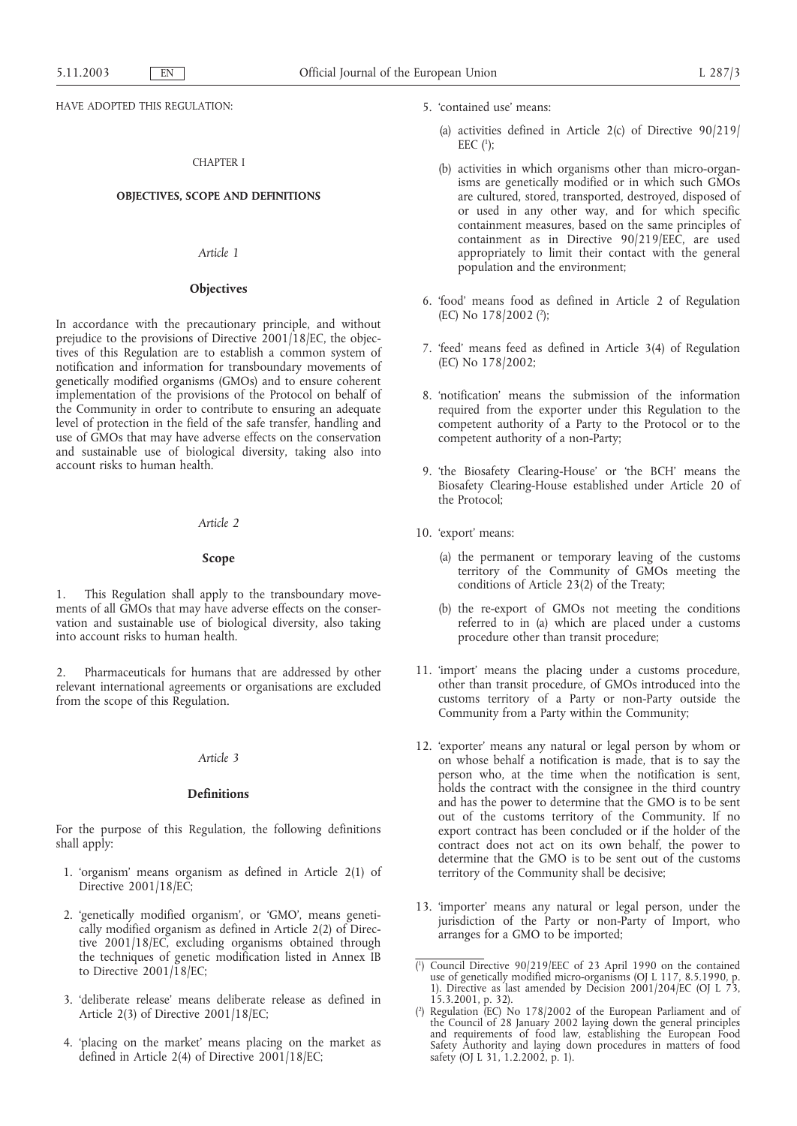HAVE ADOPTED THIS REGULATION:

### CHAPTER I

### **OBJECTIVES, SCOPE AND DEFINITIONS**

### *Article 1*

### **Objectives**

In accordance with the precautionary principle, and without prejudice to the provisions of Directive 2001/18/EC, the objectives of this Regulation are to establish a common system of notification and information for transboundary movements of genetically modified organisms (GMOs) and to ensure coherent implementation of the provisions of the Protocol on behalf of the Community in order to contribute to ensuring an adequate level of protection in the field of the safe transfer, handling and use of GMOs that may have adverse effects on the conservation and sustainable use of biological diversity, taking also into account risks to human health.

### *Article 2*

#### **Scope**

1. This Regulation shall apply to the transboundary movements of all GMOs that may have adverse effects on the conservation and sustainable use of biological diversity, also taking into account risks to human health.

2. Pharmaceuticals for humans that are addressed by other relevant international agreements or organisations are excluded from the scope of this Regulation.

#### *Article 3*

### **Definitions**

For the purpose of this Regulation, the following definitions shall apply:

- 1. 'organism' means organism as defined in Article 2(1) of Directive 2001/18/EC;
- 2. 'genetically modified organism', or 'GMO', means genetically modified organism as defined in Article 2(2) of Directive 2001/18/EC, excluding organisms obtained through the techniques of genetic modification listed in Annex IB to Directive 2001/18/EC;
- 3. 'deliberate release' means deliberate release as defined in Article 2(3) of Directive 2001/18/EC;
- 4. 'placing on the market' means placing on the market as defined in Article 2(4) of Directive 2001/18/EC;
- 5. 'contained use' means:
	- (a) activities defined in Article 2(c) of Directive 90/219/ EEC $(1)$ ;
	- (b) activities in which organisms other than micro-organisms are genetically modified or in which such GMOs are cultured, stored, transported, destroyed, disposed of or used in any other way, and for which specific containment measures, based on the same principles of containment as in Directive 90/219/EEC, are used appropriately to limit their contact with the general population and the environment;
- 6. 'food' means food as defined in Article 2 of Regulation (EC) No 178/2002 (2);
- 7. 'feed' means feed as defined in Article 3(4) of Regulation (EC) No 178/2002;
- 8. 'notification' means the submission of the information required from the exporter under this Regulation to the competent authority of a Party to the Protocol or to the competent authority of a non-Party;
- 9. 'the Biosafety Clearing-House' or 'the BCH' means the Biosafety Clearing-House established under Article 20 of the Protocol;
- 10. 'export' means:
	- (a) the permanent or temporary leaving of the customs territory of the Community of GMOs meeting the conditions of Article 23(2) of the Treaty;
	- (b) the re-export of GMOs not meeting the conditions referred to in (a) which are placed under a customs procedure other than transit procedure;
- 11. 'import' means the placing under a customs procedure, other than transit procedure, of GMOs introduced into the customs territory of a Party or non-Party outside the Community from a Party within the Community;
- 12. 'exporter' means any natural or legal person by whom or on whose behalf a notification is made, that is to say the person who, at the time when the notification is sent, holds the contract with the consignee in the third country and has the power to determine that the GMO is to be sent out of the customs territory of the Community. If no export contract has been concluded or if the holder of the contract does not act on its own behalf, the power to determine that the GMO is to be sent out of the customs territory of the Community shall be decisive;
- 13. 'importer' means any natural or legal person, under the jurisdiction of the Party or non-Party of Import, who arranges for a GMO to be imported;

<sup>(</sup> 1 ) Council Directive 90/219/EEC of 23 April 1990 on the contained use of genetically modified micro-organisms (OJ L 117, 8.5.1990, p. 1). Directive as last amended by Decision 2001/204/EC (OJ L 73, 15.3.2001, p. 32).

<sup>(</sup> 2 ) Regulation (EC) No 178/2002 of the European Parliament and of the Council of 28 January 2002 laying down the general principles and requirements of food law, establishing the European Food Safety Authority and laying down procedures in matters of food safety (OJ L 31, 1.2.2002, p. 1).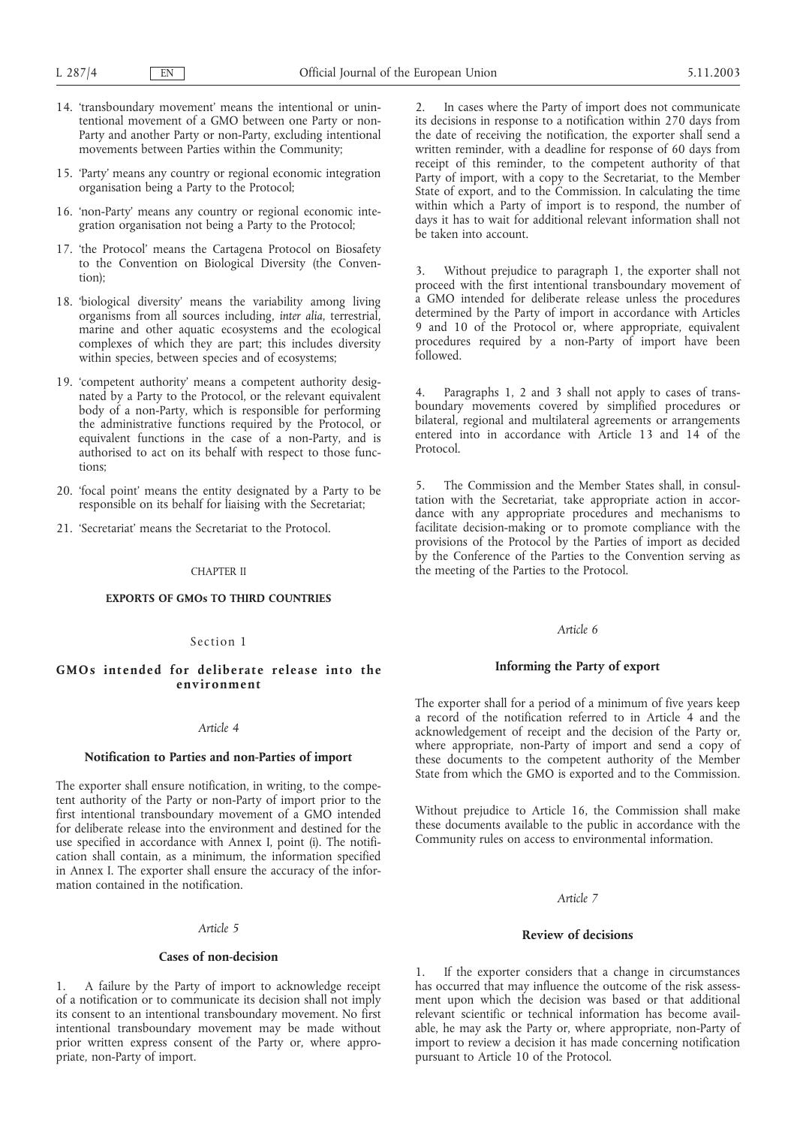- 14. 'transboundary movement' means the intentional or unintentional movement of a GMO between one Party or non-Party and another Party or non-Party, excluding intentional movements between Parties within the Community;
- 15. 'Party' means any country or regional economic integration organisation being a Party to the Protocol;
- 16. 'non-Party' means any country or regional economic integration organisation not being a Party to the Protocol;
- 17. 'the Protocol' means the Cartagena Protocol on Biosafety to the Convention on Biological Diversity (the Convention);
- 18. 'biological diversity' means the variability among living organisms from all sources including, *inter alia*, terrestrial, marine and other aquatic ecosystems and the ecological complexes of which they are part; this includes diversity within species, between species and of ecosystems;
- 19. 'competent authority' means a competent authority designated by a Party to the Protocol, or the relevant equivalent body of a non-Party, which is responsible for performing the administrative functions required by the Protocol, or equivalent functions in the case of a non-Party, and is authorised to act on its behalf with respect to those functions;
- 20. 'focal point' means the entity designated by a Party to be responsible on its behalf for liaising with the Secretariat;
- 21. 'Secretariat' means the Secretariat to the Protocol.

### CHAPTER II

#### **EXPORTS OF GMOs TO THIRD COUNTRIES**

#### Section 1

### **GMOs intended for deliberate release into the environment**

### *Article 4*

#### **Notification to Parties and non-Parties of import**

The exporter shall ensure notification, in writing, to the competent authority of the Party or non-Party of import prior to the first intentional transboundary movement of a GMO intended for deliberate release into the environment and destined for the use specified in accordance with Annex I, point (i). The notification shall contain, as a minimum, the information specified in Annex I. The exporter shall ensure the accuracy of the information contained in the notification.

### *Article 5*

### **Cases of non-decision**

1. A failure by the Party of import to acknowledge receipt of a notification or to communicate its decision shall not imply its consent to an intentional transboundary movement. No first intentional transboundary movement may be made without prior written express consent of the Party or, where appropriate, non-Party of import.

2. In cases where the Party of import does not communicate its decisions in response to a notification within 270 days from the date of receiving the notification, the exporter shall send a written reminder, with a deadline for response of 60 days from receipt of this reminder, to the competent authority of that Party of import, with a copy to the Secretariat, to the Member State of export, and to the Commission. In calculating the time within which a Party of import is to respond, the number of days it has to wait for additional relevant information shall not be taken into account.

3. Without prejudice to paragraph 1, the exporter shall not proceed with the first intentional transboundary movement of a GMO intended for deliberate release unless the procedures determined by the Party of import in accordance with Articles 9 and 10 of the Protocol or, where appropriate, equivalent procedures required by a non-Party of import have been followed.

4. Paragraphs 1, 2 and 3 shall not apply to cases of transboundary movements covered by simplified procedures or bilateral, regional and multilateral agreements or arrangements entered into in accordance with Article 13 and 14 of the Protocol.

5. The Commission and the Member States shall, in consultation with the Secretariat, take appropriate action in accordance with any appropriate procedures and mechanisms to facilitate decision-making or to promote compliance with the provisions of the Protocol by the Parties of import as decided by the Conference of the Parties to the Convention serving as the meeting of the Parties to the Protocol.

#### *Article 6*

### **Informing the Party of export**

The exporter shall for a period of a minimum of five years keep a record of the notification referred to in Article 4 and the acknowledgement of receipt and the decision of the Party or, where appropriate, non-Party of import and send a copy of these documents to the competent authority of the Member State from which the GMO is exported and to the Commission.

Without prejudice to Article 16, the Commission shall make these documents available to the public in accordance with the Community rules on access to environmental information.

### *Article 7*

### **Review of decisions**

1. If the exporter considers that a change in circumstances has occurred that may influence the outcome of the risk assessment upon which the decision was based or that additional relevant scientific or technical information has become available, he may ask the Party or, where appropriate, non-Party of import to review a decision it has made concerning notification pursuant to Article 10 of the Protocol.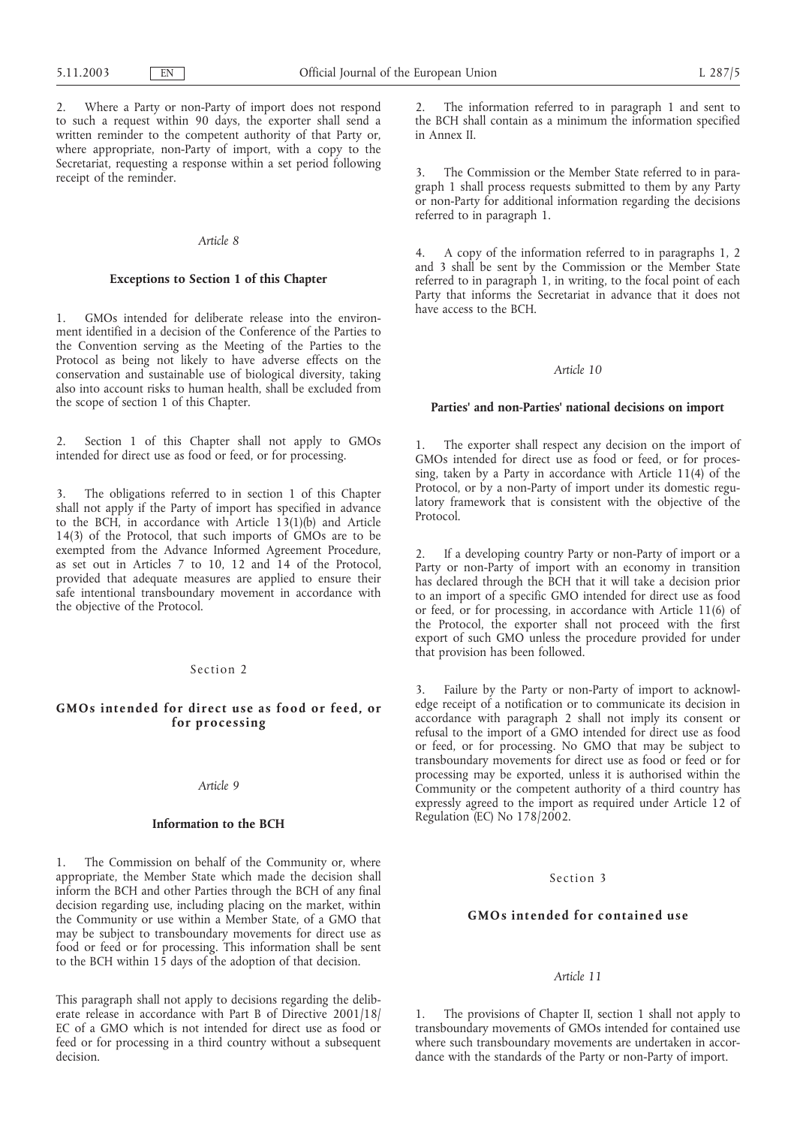2. Where a Party or non-Party of import does not respond to such a request within 90 days, the exporter shall send a written reminder to the competent authority of that Party or, where appropriate, non-Party of import, with a copy to the Secretariat, requesting a response within a set period following receipt of the reminder.

### *Article 8*

### **Exceptions to Section 1 of this Chapter**

1. GMOs intended for deliberate release into the environment identified in a decision of the Conference of the Parties to the Convention serving as the Meeting of the Parties to the Protocol as being not likely to have adverse effects on the conservation and sustainable use of biological diversity, taking also into account risks to human health, shall be excluded from the scope of section 1 of this Chapter.

2. Section 1 of this Chapter shall not apply to GMOs intended for direct use as food or feed, or for processing.

The obligations referred to in section 1 of this Chapter shall not apply if the Party of import has specified in advance to the BCH, in accordance with Article  $13(1)(b)$  and Article 14(3) of the Protocol, that such imports of GMOs are to be exempted from the Advance Informed Agreement Procedure, as set out in Articles 7 to 10, 12 and 14 of the Protocol, provided that adequate measures are applied to ensure their safe intentional transboundary movement in accordance with the objective of the Protocol.

### Section 2

### **GMOs intended for direct use as food or feed, or for processing**

#### *Article 9*

#### **Information to the BCH**

1. The Commission on behalf of the Community or, where appropriate, the Member State which made the decision shall inform the BCH and other Parties through the BCH of any final decision regarding use, including placing on the market, within the Community or use within a Member State, of a GMO that may be subject to transboundary movements for direct use as food or feed or for processing. This information shall be sent to the BCH within 15 days of the adoption of that decision.

This paragraph shall not apply to decisions regarding the deliberate release in accordance with Part B of Directive 2001/18/ EC of a GMO which is not intended for direct use as food or feed or for processing in a third country without a subsequent decision.

2. The information referred to in paragraph 1 and sent to the BCH shall contain as a minimum the information specified in Annex II.

3. The Commission or the Member State referred to in paragraph 1 shall process requests submitted to them by any Party or non-Party for additional information regarding the decisions referred to in paragraph 1.

4. A copy of the information referred to in paragraphs 1, 2 and 3 shall be sent by the Commission or the Member State referred to in paragraph 1, in writing, to the focal point of each Party that informs the Secretariat in advance that it does not have access to the BCH.

#### *Article 10*

#### **Parties' and non-Parties' national decisions on import**

1. The exporter shall respect any decision on the import of GMOs intended for direct use as food or feed, or for processing, taken by a Party in accordance with Article 11(4) of the Protocol, or by a non-Party of import under its domestic regulatory framework that is consistent with the objective of the Protocol.

2. If a developing country Party or non-Party of import or a Party or non-Party of import with an economy in transition has declared through the BCH that it will take a decision prior to an import of a specific GMO intended for direct use as food or feed, or for processing, in accordance with Article 11(6) of the Protocol, the exporter shall not proceed with the first export of such GMO unless the procedure provided for under that provision has been followed.

Failure by the Party or non-Party of import to acknowledge receipt of a notification or to communicate its decision in accordance with paragraph 2 shall not imply its consent or refusal to the import of a GMO intended for direct use as food or feed, or for processing. No GMO that may be subject to transboundary movements for direct use as food or feed or for processing may be exported, unless it is authorised within the Community or the competent authority of a third country has expressly agreed to the import as required under Article 12 of Regulation (EC) No 178/2002.

### Section 3

### **GMOs intended for contained use**

### *Article 11*

1. The provisions of Chapter II, section 1 shall not apply to transboundary movements of GMOs intended for contained use where such transboundary movements are undertaken in accordance with the standards of the Party or non-Party of import.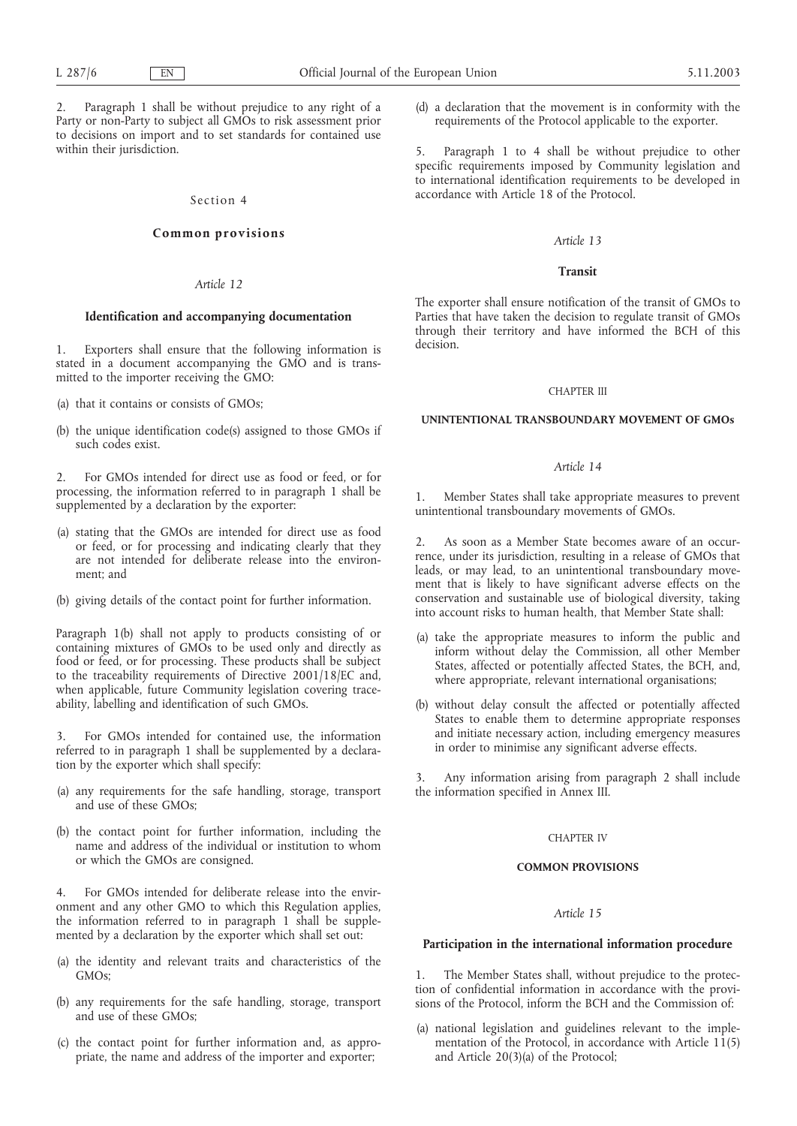2. Paragraph 1 shall be without prejudice to any right of a Party or non-Party to subject all GMOs to risk assessment prior to decisions on import and to set standards for contained use within their jurisdiction.

### Section 4

### **Common provisions**

### *Article 12*

### **Identification and accompanying documentation**

1. Exporters shall ensure that the following information is stated in a document accompanying the GMO and is transmitted to the importer receiving the GMO:

- (a) that it contains or consists of GMOs;
- (b) the unique identification code(s) assigned to those GMOs if such codes exist.

2. For GMOs intended for direct use as food or feed, or for processing, the information referred to in paragraph 1 shall be supplemented by a declaration by the exporter:

- (a) stating that the GMOs are intended for direct use as food or feed, or for processing and indicating clearly that they are not intended for deliberate release into the environment; and
- (b) giving details of the contact point for further information.

Paragraph 1(b) shall not apply to products consisting of or containing mixtures of GMOs to be used only and directly as food or feed, or for processing. These products shall be subject to the traceability requirements of Directive 2001/18/EC and, when applicable, future Community legislation covering traceability, labelling and identification of such GMOs.

3. For GMOs intended for contained use, the information referred to in paragraph 1 shall be supplemented by a declaration by the exporter which shall specify:

- (a) any requirements for the safe handling, storage, transport and use of these GMOs;
- (b) the contact point for further information, including the name and address of the individual or institution to whom or which the GMOs are consigned.

For GMOs intended for deliberate release into the environment and any other GMO to which this Regulation applies, the information referred to in paragraph 1 shall be supplemented by a declaration by the exporter which shall set out:

- (a) the identity and relevant traits and characteristics of the GMOs;
- (b) any requirements for the safe handling, storage, transport and use of these GMOs;
- (c) the contact point for further information and, as appropriate, the name and address of the importer and exporter;

(d) a declaration that the movement is in conformity with the requirements of the Protocol applicable to the exporter.

5. Paragraph 1 to 4 shall be without prejudice to other specific requirements imposed by Community legislation and to international identification requirements to be developed in accordance with Article 18 of the Protocol.

# *Article 13*

## **Transit**

The exporter shall ensure notification of the transit of GMOs to Parties that have taken the decision to regulate transit of GMOs through their territory and have informed the BCH of this decision.

#### CHAPTER III

#### **UNINTENTIONAL TRANSBOUNDARY MOVEMENT OF GMOs**

#### *Article 14*

1. Member States shall take appropriate measures to prevent unintentional transboundary movements of GMOs.

2. As soon as a Member State becomes aware of an occurrence, under its jurisdiction, resulting in a release of GMOs that leads, or may lead, to an unintentional transboundary movement that is likely to have significant adverse effects on the conservation and sustainable use of biological diversity, taking into account risks to human health, that Member State shall:

- (a) take the appropriate measures to inform the public and inform without delay the Commission, all other Member States, affected or potentially affected States, the BCH, and, where appropriate, relevant international organisations;
- (b) without delay consult the affected or potentially affected States to enable them to determine appropriate responses and initiate necessary action, including emergency measures in order to minimise any significant adverse effects.

3. Any information arising from paragraph 2 shall include the information specified in Annex III.

#### CHAPTER IV

#### **COMMON PROVISIONS**

### *Article 15*

#### **Participation in the international information procedure**

1. The Member States shall, without prejudice to the protection of confidential information in accordance with the provisions of the Protocol, inform the BCH and the Commission of:

(a) national legislation and guidelines relevant to the implementation of the Protocol, in accordance with Article  $11(5)$ and Article 20(3)(a) of the Protocol;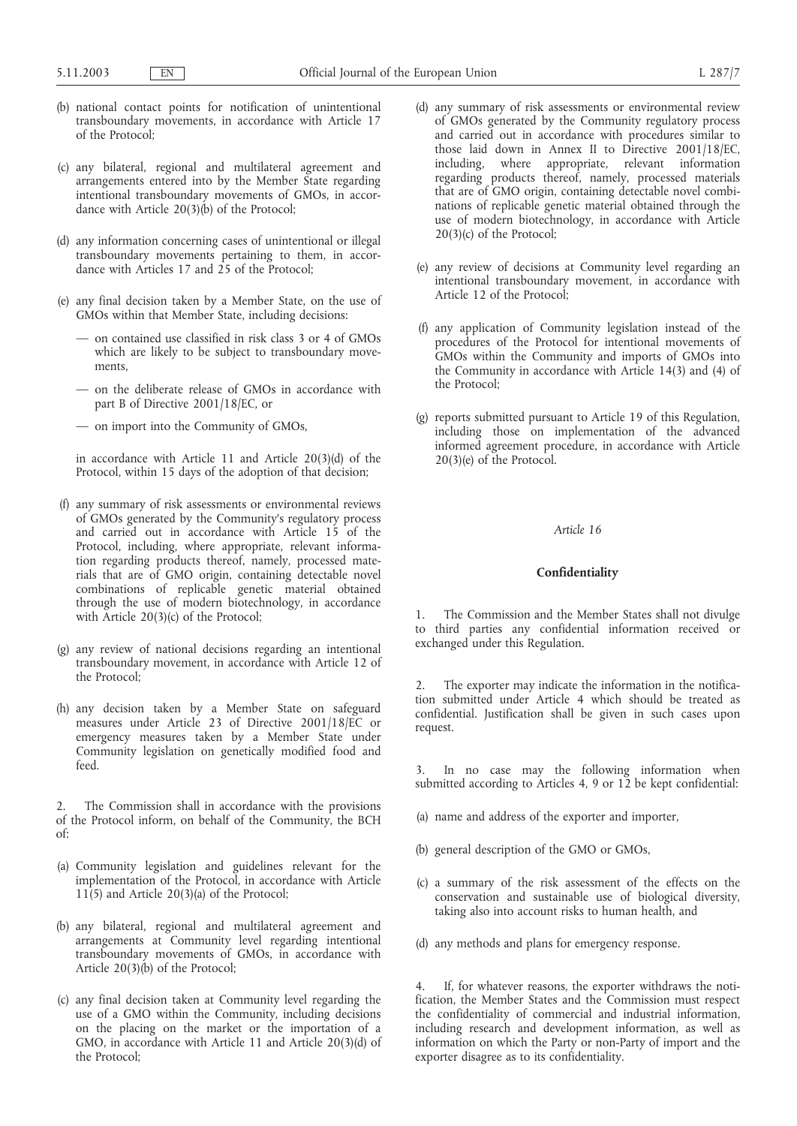- (b) national contact points for notification of unintentional transboundary movements, in accordance with Article 17 of the Protocol;
- (c) any bilateral, regional and multilateral agreement and arrangements entered into by the Member State regarding intentional transboundary movements of GMOs, in accordance with Article 20(3)(b) of the Protocol;
- (d) any information concerning cases of unintentional or illegal transboundary movements pertaining to them, in accordance with Articles 17 and 25 of the Protocol;
- (e) any final decision taken by a Member State, on the use of GMOs within that Member State, including decisions:
	- on contained use classified in risk class 3 or 4 of GMOs which are likely to be subject to transboundary movements,
	- on the deliberate release of GMOs in accordance with part B of Directive 2001/18/EC, or
	- on import into the Community of GMOs,

in accordance with Article 11 and Article 20(3)(d) of the Protocol, within 15 days of the adoption of that decision;

- (f) any summary of risk assessments or environmental reviews of GMOs generated by the Community's regulatory process and carried out in accordance with Article 15 of the Protocol, including, where appropriate, relevant information regarding products thereof, namely, processed materials that are of GMO origin, containing detectable novel combinations of replicable genetic material obtained through the use of modern biotechnology, in accordance with Article 20(3)(c) of the Protocol;
- (g) any review of national decisions regarding an intentional transboundary movement, in accordance with Article 12 of the Protocol;
- (h) any decision taken by a Member State on safeguard measures under Article 23 of Directive 2001/18/EC or emergency measures taken by a Member State under Community legislation on genetically modified food and feed.

The Commission shall in accordance with the provisions of the Protocol inform, on behalf of the Community, the BCH of:

- (a) Community legislation and guidelines relevant for the implementation of the Protocol, in accordance with Article  $11(5)$  and Article 20(3)(a) of the Protocol;
- (b) any bilateral, regional and multilateral agreement and arrangements at Community level regarding intentional transboundary movements of GMOs, in accordance with Article 20(3)(b) of the Protocol;
- (c) any final decision taken at Community level regarding the use of a GMO within the Community, including decisions on the placing on the market or the importation of a GMO, in accordance with Article 11 and Article 20(3)(d) of the Protocol;
- (d) any summary of risk assessments or environmental review of GMOs generated by the Community regulatory process and carried out in accordance with procedures similar to those laid down in Annex II to Directive 2001/18/EC, including, where appropriate, relevant information regarding products thereof, namely, processed materials that are of GMO origin, containing detectable novel combinations of replicable genetic material obtained through the use of modern biotechnology, in accordance with Article 20(3)(c) of the Protocol;
- (e) any review of decisions at Community level regarding an intentional transboundary movement, in accordance with Article 12 of the Protocol;
- (f) any application of Community legislation instead of the procedures of the Protocol for intentional movements of GMOs within the Community and imports of GMOs into the Community in accordance with Article 14(3) and (4) of the Protocol;
- (g) reports submitted pursuant to Article 19 of this Regulation, including those on implementation of the advanced informed agreement procedure, in accordance with Article 20(3)(e) of the Protocol.

### *Article 16*

#### **Confidentiality**

1. The Commission and the Member States shall not divulge to third parties any confidential information received or exchanged under this Regulation.

2. The exporter may indicate the information in the notification submitted under Article 4 which should be treated as confidential. Justification shall be given in such cases upon request.

3. In no case may the following information when submitted according to Articles 4, 9 or 12 be kept confidential:

- (a) name and address of the exporter and importer,
- (b) general description of the GMO or GMOs,
- (c) a summary of the risk assessment of the effects on the conservation and sustainable use of biological diversity, taking also into account risks to human health, and
- (d) any methods and plans for emergency response.

If, for whatever reasons, the exporter withdraws the notification, the Member States and the Commission must respect the confidentiality of commercial and industrial information, including research and development information, as well as information on which the Party or non-Party of import and the exporter disagree as to its confidentiality.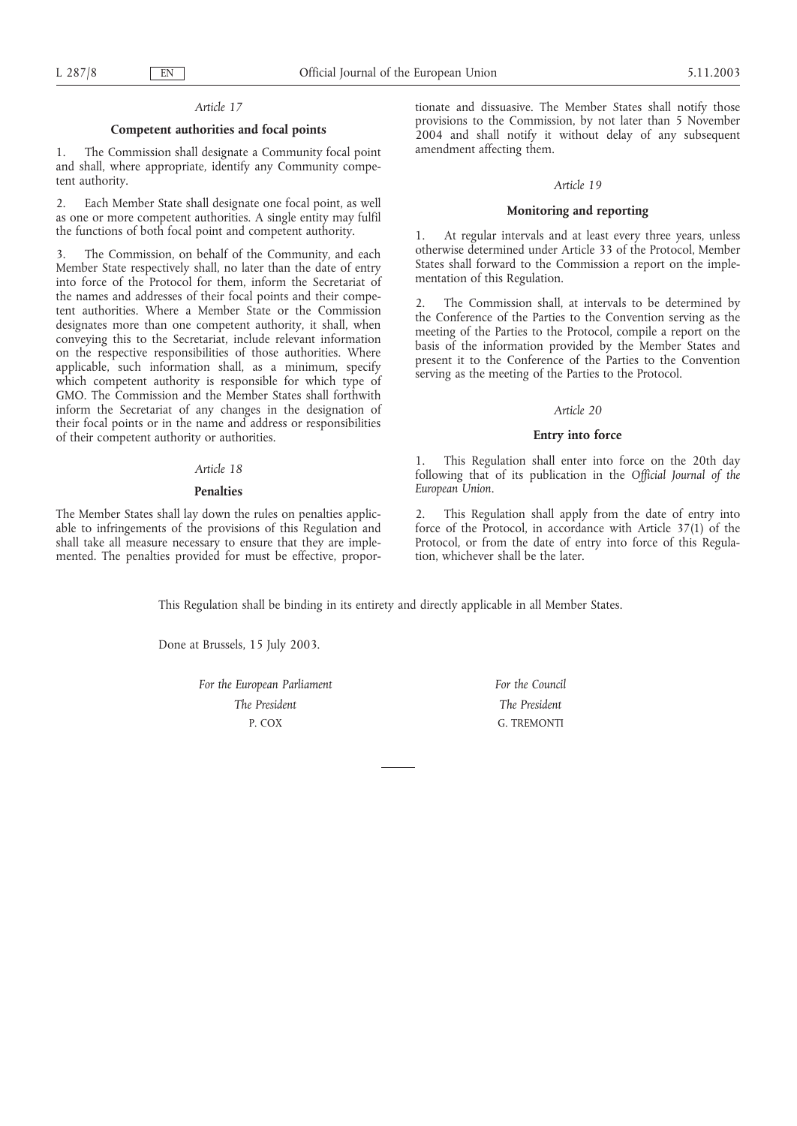#### *Article 17*

### **Competent authorities and focal points**

1. The Commission shall designate a Community focal point and shall, where appropriate, identify any Community competent authority.

2. Each Member State shall designate one focal point, as well as one or more competent authorities. A single entity may fulfil the functions of both focal point and competent authority.

3. The Commission, on behalf of the Community, and each Member State respectively shall, no later than the date of entry into force of the Protocol for them, inform the Secretariat of the names and addresses of their focal points and their competent authorities. Where a Member State or the Commission designates more than one competent authority, it shall, when conveying this to the Secretariat, include relevant information on the respective responsibilities of those authorities. Where applicable, such information shall, as a minimum, specify which competent authority is responsible for which type of GMO. The Commission and the Member States shall forthwith inform the Secretariat of any changes in the designation of their focal points or in the name and address or responsibilities of their competent authority or authorities.

### *Article 18*

#### **Penalties**

The Member States shall lay down the rules on penalties applicable to infringements of the provisions of this Regulation and shall take all measure necessary to ensure that they are implemented. The penalties provided for must be effective, proportionate and dissuasive. The Member States shall notify those provisions to the Commission, by not later than 5 November 2004 and shall notify it without delay of any subsequent amendment affecting them.

#### *Article 19*

#### **Monitoring and reporting**

1. At regular intervals and at least every three years, unless otherwise determined under Article 33 of the Protocol, Member States shall forward to the Commission a report on the implementation of this Regulation.

2. The Commission shall, at intervals to be determined by the Conference of the Parties to the Convention serving as the meeting of the Parties to the Protocol, compile a report on the basis of the information provided by the Member States and present it to the Conference of the Parties to the Convention serving as the meeting of the Parties to the Protocol.

#### *Article 20*

#### **Entry into force**

This Regulation shall enter into force on the 20th day following that of its publication in the *Official Journal of the European Union*.

2. This Regulation shall apply from the date of entry into force of the Protocol, in accordance with Article 37(1) of the Protocol, or from the date of entry into force of this Regulation, whichever shall be the later.

This Regulation shall be binding in its entirety and directly applicable in all Member States.

Done at Brussels, 15 July 2003.

*For the European Parliament The President* P. COX

*For the Council The President* G. TREMONTI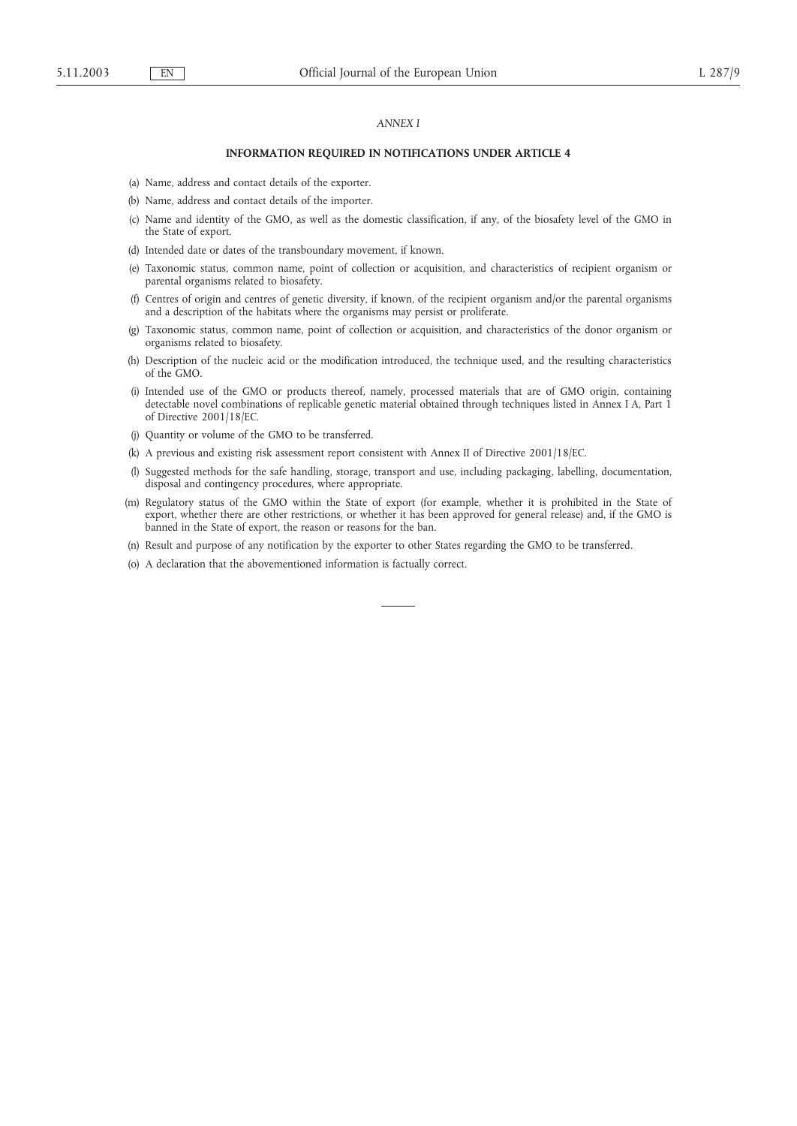### *ANNEX I*

#### **INFORMATION REQUIRED IN NOTIFICATIONS UNDER ARTICLE 4**

- (a) Name, address and contact details of the exporter.
- (b) Name, address and contact details of the importer.
- (c) Name and identity of the GMO, as well as the domestic classification, if any, of the biosafety level of the GMO in the State of export.
- (d) Intended date or dates of the transboundary movement, if known.
- (e) Taxonomic status, common name, point of collection or acquisition, and characteristics of recipient organism or parental organisms related to biosafety.
- (f) Centres of origin and centres of genetic diversity, if known, of the recipient organism and/or the parental organisms and a description of the habitats where the organisms may persist or proliferate.
- (g) Taxonomic status, common name, point of collection or acquisition, and characteristics of the donor organism or organisms related to biosafety.
- (h) Description of the nucleic acid or the modification introduced, the technique used, and the resulting characteristics of the GMO.
- (i) Intended use of the GMO or products thereof, namely, processed materials that are of GMO origin, containing detectable novel combinations of replicable genetic material obtained through techniques listed in Annex I A, Part 1 of Directive 2001/18/EC.
- (j) Quantity or volume of the GMO to be transferred.
- (k) A previous and existing risk assessment report consistent with Annex II of Directive 2001/18/EC.
- (l) Suggested methods for the safe handling, storage, transport and use, including packaging, labelling, documentation, disposal and contingency procedures, where appropriate.
- (m) Regulatory status of the GMO within the State of export (for example, whether it is prohibited in the State of export, whether there are other restrictions, or whether it has been approved for general release) and, if the GMO is banned in the State of export, the reason or reasons for the ban.
- (n) Result and purpose of any notification by the exporter to other States regarding the GMO to be transferred.
- (o) A declaration that the abovementioned information is factually correct.